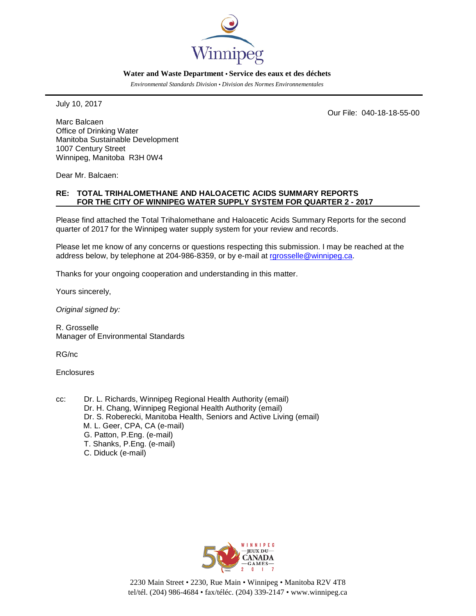

#### **Water and Waste Department • Service des eaux et des déchets**

*Environmental Standards Division • Division des Normes Environnementales*

July 10, 2017

Our File: 040-18-18-55-00

Marc Balcaen Office of Drinking Water Manitoba Sustainable Development 1007 Century Street Winnipeg, Manitoba R3H 0W4

Dear Mr. Balcaen:

### **RE: TOTAL TRIHALOMETHANE AND HALOACETIC ACIDS SUMMARY REPORTS FOR THE CITY OF WINNIPEG WATER SUPPLY SYSTEM FOR QUARTER 2 - 2017**

Please find attached the Total Trihalomethane and Haloacetic Acids Summary Reports for the second quarter of 2017 for the Winnipeg water supply system for your review and records.

Please let me know of any concerns or questions respecting this submission. I may be reached at the address below, by telephone at 204-986-8359, or by e-mail at [rgrosselle@winnipeg.ca.](mailto:rgrosselle@winnipeg.ca)

Thanks for your ongoing cooperation and understanding in this matter.

Yours sincerely,

*Original signed by:*

R. Grosselle Manager of Environmental Standards

RG/nc

Enclosures

cc: Dr. L. Richards, Winnipeg Regional Health Authority (email) Dr. H. Chang, Winnipeg Regional Health Authority (email) Dr. S. Roberecki, Manitoba Health, Seniors and Active Living (email) M. L. Geer, CPA, CA (e-mail) G. Patton, P.Eng. (e-mail) T. Shanks, P.Eng. (e-mail) C. Diduck (e-mail)



2230 Main Street • 2230, Rue Main • Winnipeg • Manitoba R2V 4T8 tel/tél. (204) 986-4684 • fax/téléc. (204) 339-2147 • www.winnipeg.ca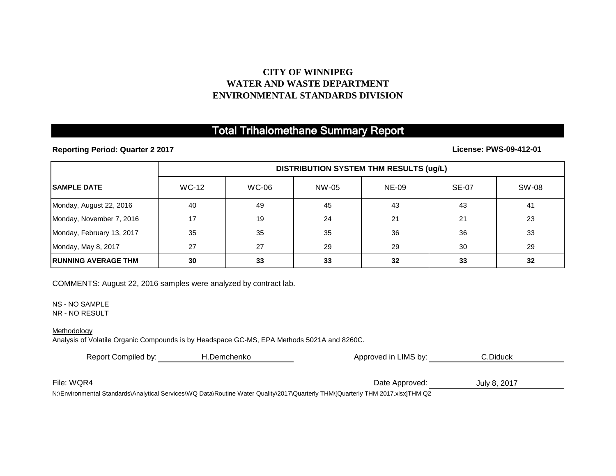## **CITY OF WINNIPEG WATER AND WASTE DEPARTMENT ENVIRONMENTAL STANDARDS DIVISION**

# Total Trihalomethane Summary Report

**Reporting Period: Quarter 2 2017**

## **License: PWS-09-412-01**

|                             | <b>DISTRIBUTION SYSTEM THM RESULTS (ug/L)</b> |              |       |              |              |       |
|-----------------------------|-----------------------------------------------|--------------|-------|--------------|--------------|-------|
| <b>ISAMPLE DATE</b>         | <b>WC-12</b>                                  | <b>WC-06</b> | NW-05 | <b>NE-09</b> | <b>SE-07</b> | SW-08 |
| Monday, August 22, 2016     | 40                                            | 49           | 45    | 43           | 43           | 41    |
| Monday, November 7, 2016    | 17                                            | 19           | 24    | 21           | 21           | 23    |
| Monday, February 13, 2017   | 35                                            | 35           | 35    | 36           | 36           | 33    |
| Monday, May 8, 2017         | 27                                            | 27           | 29    | 29           | 30           | 29    |
| <b>IRUNNING AVERAGE THM</b> | 30                                            | 33           | 33    | 32           | 33           | 32    |

COMMENTS: August 22, 2016 samples were analyzed by contract lab.

NS - NO SAMPLE

NR - NO RESULT

### Methodology

Analysis of Volatile Organic Compounds is by Headspace GC-MS, EPA Methods 5021A and 8260C.

| Report Compiled by: | H.Demchenko | Approved in LIMS by:    | C.Diduck     |  |  |
|---------------------|-------------|-------------------------|--------------|--|--|
|                     |             |                         |              |  |  |
| File: WQR4          |             | Date Approved:          | July 8, 2017 |  |  |
| .                   |             | $- \cdot \cdot \cdot -$ |              |  |  |

N:\Environmental Standards\Analytical Services\WQ Data\Routine Water Quality\2017\Quarterly THM\[Quarterly THM 2017.xlsx]THM Q2